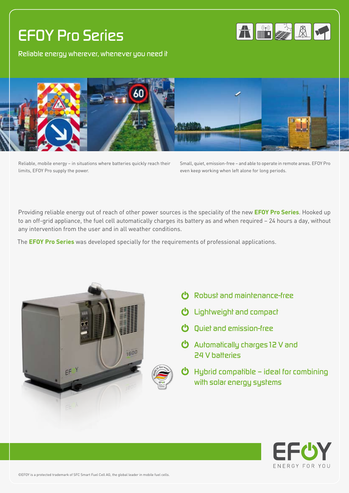# *EFOY Pro Series*







Reliable, mobile energy – in situations where batteries quickly reach their limits, EFOY Pro supply the power.

Small, quiet, emission-free – and able to operate in remote areas. EFOY Pro even keep working when left alone for long periods.

Providing reliable energy out of reach of other power sources is the speciality of the new **EFOY Pro Series**. Hooked up to an off-grid appliance, the fuel cell automatically charges its battery as and when required – 24 hours a day, without any intervention from the user and in all weather conditions.

The **EFOY Pro Series** was developed specially for the requirements of professional applications.





- *Lightweight and compact*
- *Quiet and emission-free*
- *Automatically charges12 V and 24 V batteries*
- *Hybrid compatible ideal for combining with solar energy systems*



©EFOY is a protected trademark of SFC Smart Fuel Cell AG, the global leader in mobile fuel cells.